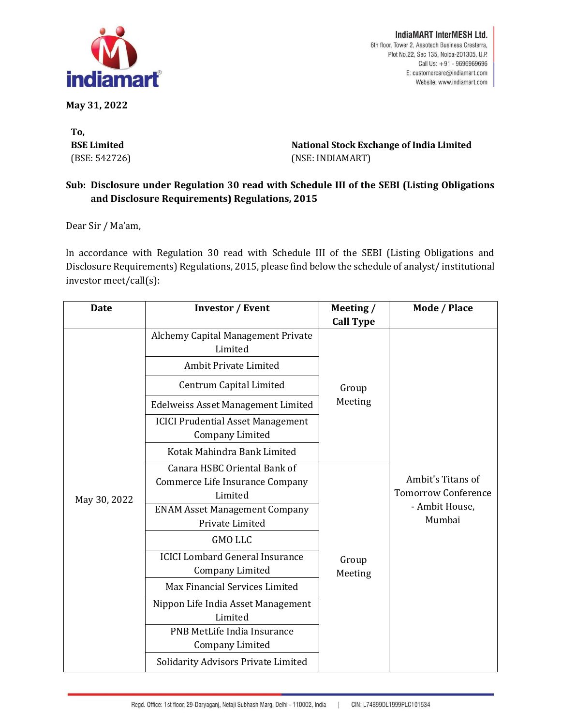

**May 31, 2022**

**To, BSE Limited** (BSE: 542726)

IndiaMART InterMESH Ltd. 6th floor, Tower 2, Assotech Business Cresterra, Plot No.22, Sec 135, Noida-201305, U.P. Call Us: +91 - 9696969696 E: customercare@indiamart.com Website: www.indiamart.com

**National Stock Exchange of India Limited** (NSE: INDIAMART)

## **Sub: Disclosure under Regulation 30 read with Schedule III of the SEBI (Listing Obligations and Disclosure Requirements) Regulations, 2015**

Dear Sir / Ma'am,

ln accordance with Regulation 30 read with Schedule III of the SEBI (Listing Obligations and Disclosure Requirements) Regulations, 2015, please find below the schedule of analyst/ institutional investor meet/call(s):

| <b>Date</b>  | <b>Investor / Event</b>                                                    | Meeting /<br><b>Call Type</b> | Mode / Place                                                                |
|--------------|----------------------------------------------------------------------------|-------------------------------|-----------------------------------------------------------------------------|
| May 30, 2022 | Alchemy Capital Management Private<br>Limited                              | Group<br>Meeting              | Ambit's Titans of<br><b>Tomorrow Conference</b><br>- Ambit House,<br>Mumbai |
|              | Ambit Private Limited                                                      |                               |                                                                             |
|              | Centrum Capital Limited                                                    |                               |                                                                             |
|              | <b>Edelweiss Asset Management Limited</b>                                  |                               |                                                                             |
|              | <b>ICICI Prudential Asset Management</b><br><b>Company Limited</b>         |                               |                                                                             |
|              | Kotak Mahindra Bank Limited                                                |                               |                                                                             |
|              | Canara HSBC Oriental Bank of<br>Commerce Life Insurance Company<br>Limited | Group<br>Meeting              |                                                                             |
|              | <b>ENAM Asset Management Company</b><br>Private Limited                    |                               |                                                                             |
|              | <b>GMO LLC</b>                                                             |                               |                                                                             |
|              | <b>ICICI Lombard General Insurance</b><br><b>Company Limited</b>           |                               |                                                                             |
|              | Max Financial Services Limited                                             |                               |                                                                             |
|              | Nippon Life India Asset Management<br>Limited                              |                               |                                                                             |
|              | PNB MetLife India Insurance<br>Company Limited                             |                               |                                                                             |
|              | Solidarity Advisors Private Limited                                        |                               |                                                                             |